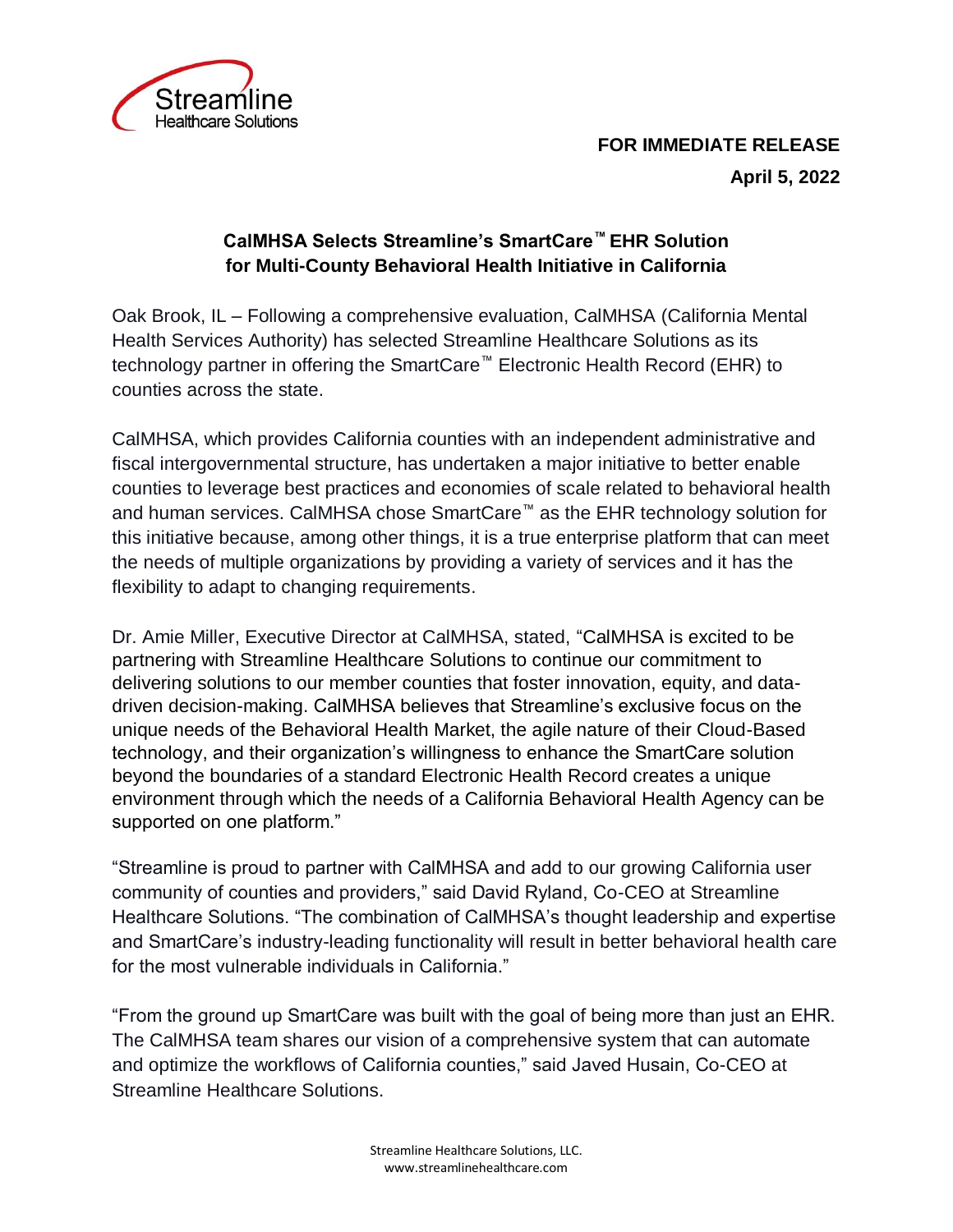

## **FOR IMMEDIATE RELEASE April 5, 2022**

## **CalMHSA Selects Streamline's SmartCare™ EHR Solution for Multi-County Behavioral Health Initiative in California**

Oak Brook, IL – Following a comprehensive evaluation, CalMHSA (California Mental Health Services Authority) has selected Streamline Healthcare Solutions as its technology partner in offering the SmartCare™ Electronic Health Record (EHR) to counties across the state.

CalMHSA, which provides California counties with an independent administrative and fiscal intergovernmental structure, has undertaken a major initiative to better enable counties to leverage best practices and economies of scale related to behavioral health and human services. CalMHSA chose SmartCare™ as the EHR technology solution for this initiative because, among other things, it is a true enterprise platform that can meet the needs of multiple organizations by providing a variety of services and it has the flexibility to adapt to changing requirements.

Dr. Amie Miller, Executive Director at CalMHSA, stated, "CalMHSA is excited to be partnering with Streamline Healthcare Solutions to continue our commitment to delivering solutions to our member counties that foster innovation, equity, and datadriven decision-making. CalMHSA believes that Streamline's exclusive focus on the unique needs of the Behavioral Health Market, the agile nature of their Cloud-Based technology, and their organization's willingness to enhance the SmartCare solution beyond the boundaries of a standard Electronic Health Record creates a unique environment through which the needs of a California Behavioral Health Agency can be supported on one platform."

"Streamline is proud to partner with CalMHSA and add to our growing California user community of counties and providers," said David Ryland, Co-CEO at Streamline Healthcare Solutions. "The combination of CalMHSA's thought leadership and expertise and SmartCare's industry-leading functionality will result in better behavioral health care for the most vulnerable individuals in California."

"From the ground up SmartCare was built with the goal of being more than just an EHR. The CalMHSA team shares our vision of a comprehensive system that can automate and optimize the workflows of California counties," said Javed Husain, Co-CEO at Streamline Healthcare Solutions.